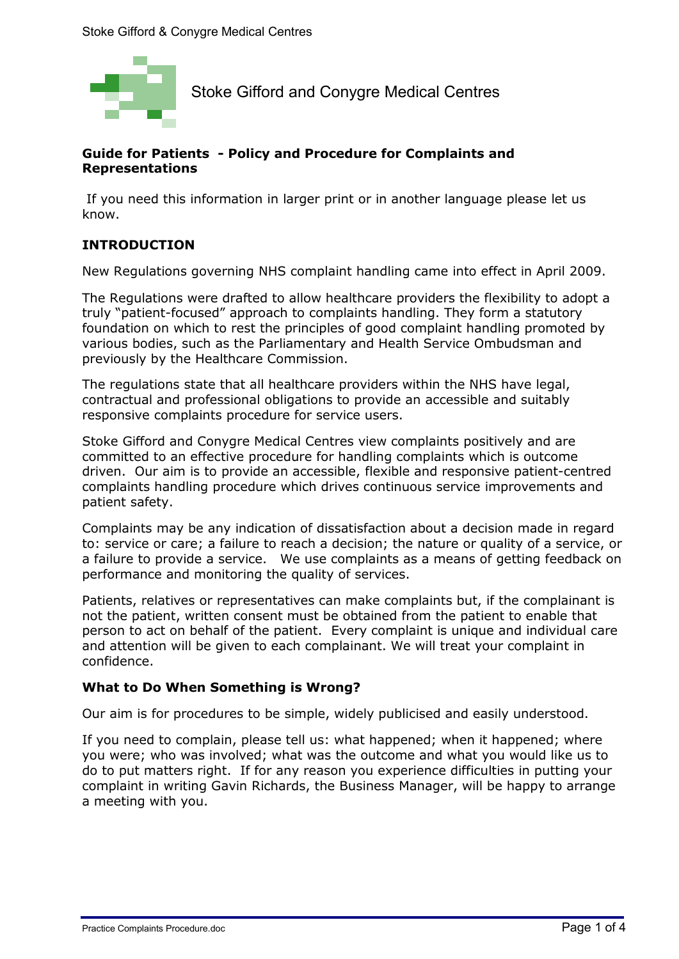

Stoke Gifford and Conygre Medical Centres

# **Guide for Patients - Policy and Procedure for Complaints and Representations**

 If you need this information in larger print or in another language please let us know.

# **INTRODUCTION**

New Regulations governing NHS complaint handling came into effect in April 2009.

The Regulations were drafted to allow healthcare providers the flexibility to adopt a truly "patient-focused" approach to complaints handling. They form a statutory foundation on which to rest the principles of good complaint handling promoted by various bodies, such as the Parliamentary and Health Service Ombudsman and previously by the Healthcare Commission.

The regulations state that all healthcare providers within the NHS have legal, contractual and professional obligations to provide an accessible and suitably responsive complaints procedure for service users.

Stoke Gifford and Conygre Medical Centres view complaints positively and are committed to an effective procedure for handling complaints which is outcome driven. Our aim is to provide an accessible, flexible and responsive patient-centred complaints handling procedure which drives continuous service improvements and patient safety.

Complaints may be any indication of dissatisfaction about a decision made in regard to: service or care; a failure to reach a decision; the nature or quality of a service, or a failure to provide a service. We use complaints as a means of getting feedback on performance and monitoring the quality of services.

Patients, relatives or representatives can make complaints but, if the complainant is not the patient, written consent must be obtained from the patient to enable that person to act on behalf of the patient. Every complaint is unique and individual care and attention will be given to each complainant. We will treat your complaint in confidence.

## **What to Do When Something is Wrong?**

Our aim is for procedures to be simple, widely publicised and easily understood.

If you need to complain, please tell us: what happened; when it happened; where you were; who was involved; what was the outcome and what you would like us to do to put matters right. If for any reason you experience difficulties in putting your complaint in writing Gavin Richards, the Business Manager, will be happy to arrange a meeting with you.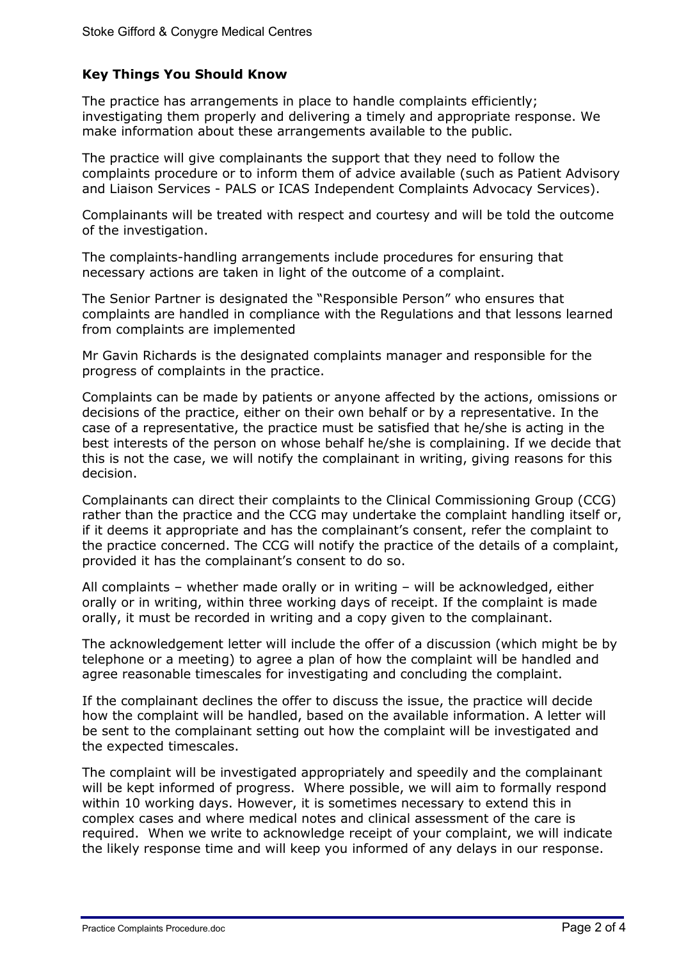# **Key Things You Should Know**

The practice has arrangements in place to handle complaints efficiently; investigating them properly and delivering a timely and appropriate response. We make information about these arrangements available to the public.

The practice will give complainants the support that they need to follow the complaints procedure or to inform them of advice available (such as Patient Advisory and Liaison Services - PALS or ICAS Independent Complaints Advocacy Services).

Complainants will be treated with respect and courtesy and will be told the outcome of the investigation.

The complaints-handling arrangements include procedures for ensuring that necessary actions are taken in light of the outcome of a complaint.

The Senior Partner is designated the "Responsible Person" who ensures that complaints are handled in compliance with the Regulations and that lessons learned from complaints are implemented

Mr Gavin Richards is the designated complaints manager and responsible for the progress of complaints in the practice.

Complaints can be made by patients or anyone affected by the actions, omissions or decisions of the practice, either on their own behalf or by a representative. In the case of a representative, the practice must be satisfied that he/she is acting in the best interests of the person on whose behalf he/she is complaining. If we decide that this is not the case, we will notify the complainant in writing, giving reasons for this decision.

Complainants can direct their complaints to the Clinical Commissioning Group (CCG) rather than the practice and the CCG may undertake the complaint handling itself or, if it deems it appropriate and has the complainant's consent, refer the complaint to the practice concerned. The CCG will notify the practice of the details of a complaint, provided it has the complainant's consent to do so.

All complaints – whether made orally or in writing – will be acknowledged, either orally or in writing, within three working days of receipt. If the complaint is made orally, it must be recorded in writing and a copy given to the complainant.

The acknowledgement letter will include the offer of a discussion (which might be by telephone or a meeting) to agree a plan of how the complaint will be handled and agree reasonable timescales for investigating and concluding the complaint.

If the complainant declines the offer to discuss the issue, the practice will decide how the complaint will be handled, based on the available information. A letter will be sent to the complainant setting out how the complaint will be investigated and the expected timescales.

The complaint will be investigated appropriately and speedily and the complainant will be kept informed of progress. Where possible, we will aim to formally respond within 10 working days. However, it is sometimes necessary to extend this in complex cases and where medical notes and clinical assessment of the care is required. When we write to acknowledge receipt of your complaint, we will indicate the likely response time and will keep you informed of any delays in our response.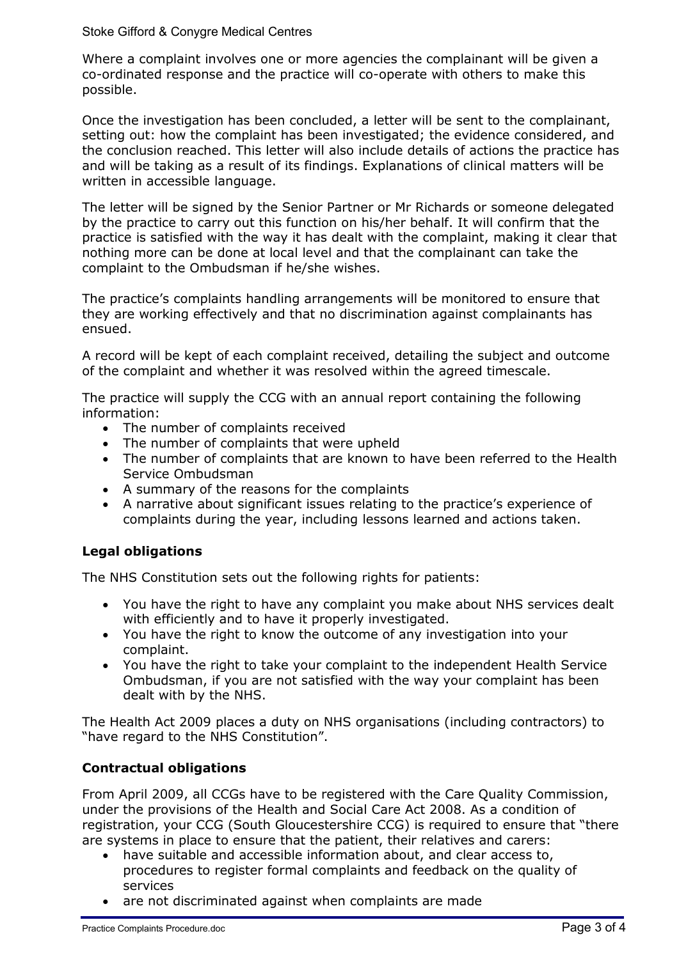#### Stoke Gifford & Conygre Medical Centres

Where a complaint involves one or more agencies the complainant will be given a co-ordinated response and the practice will co-operate with others to make this possible.

Once the investigation has been concluded, a letter will be sent to the complainant, setting out: how the complaint has been investigated; the evidence considered, and the conclusion reached. This letter will also include details of actions the practice has and will be taking as a result of its findings. Explanations of clinical matters will be written in accessible language.

The letter will be signed by the Senior Partner or Mr Richards or someone delegated by the practice to carry out this function on his/her behalf. It will confirm that the practice is satisfied with the way it has dealt with the complaint, making it clear that nothing more can be done at local level and that the complainant can take the complaint to the Ombudsman if he/she wishes.

The practice's complaints handling arrangements will be monitored to ensure that they are working effectively and that no discrimination against complainants has ensued.

A record will be kept of each complaint received, detailing the subject and outcome of the complaint and whether it was resolved within the agreed timescale.

The practice will supply the CCG with an annual report containing the following information:

- The number of complaints received
- The number of complaints that were upheld
- The number of complaints that are known to have been referred to the Health Service Ombudsman
- A summary of the reasons for the complaints
- A narrative about significant issues relating to the practice's experience of complaints during the year, including lessons learned and actions taken.

## **Legal obligations**

The NHS Constitution sets out the following rights for patients:

- You have the right to have any complaint you make about NHS services dealt with efficiently and to have it properly investigated.
- You have the right to know the outcome of any investigation into your complaint.
- You have the right to take your complaint to the independent Health Service Ombudsman, if you are not satisfied with the way your complaint has been dealt with by the NHS.

The Health Act 2009 places a duty on NHS organisations (including contractors) to "have regard to the NHS Constitution".

## **Contractual obligations**

From April 2009, all CCGs have to be registered with the Care Quality Commission, under the provisions of the Health and Social Care Act 2008. As a condition of registration, your CCG (South Gloucestershire CCG) is required to ensure that "there are systems in place to ensure that the patient, their relatives and carers:

- have suitable and accessible information about, and clear access to, procedures to register formal complaints and feedback on the quality of services
- are not discriminated against when complaints are made